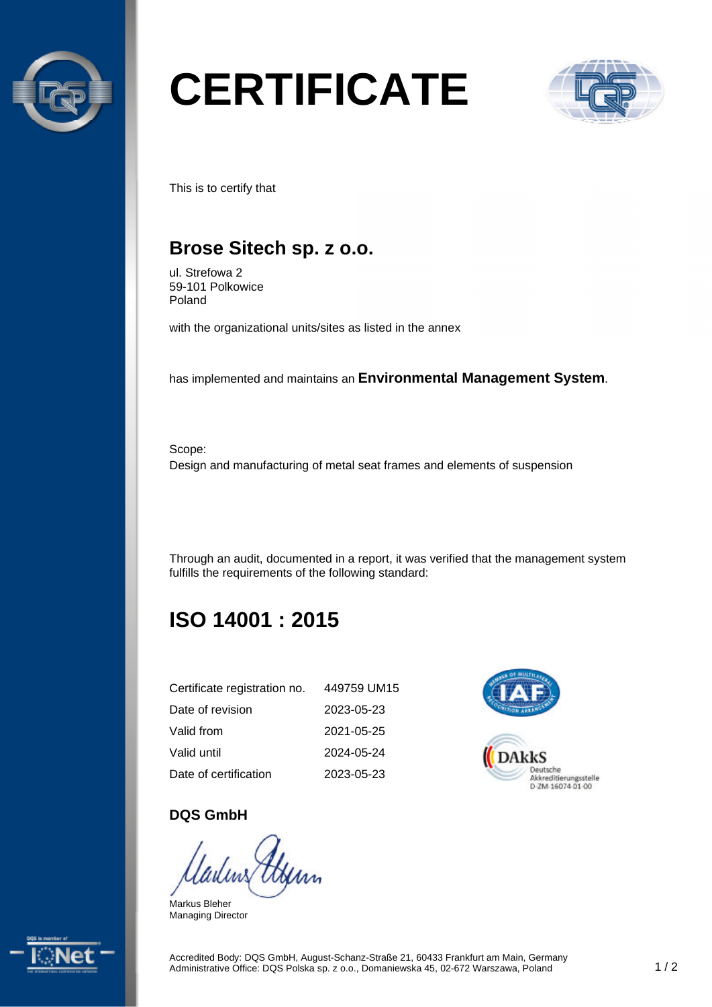

# **CERTIFICATE**



This is to certify that

## **Brose Sitech sp. z o.o.**

ul. Strefowa 2 59-101 Polkowice Poland

with the organizational units/sites as listed in the annex

has implemented and maintains an **Environmental Management System**.

Scope: Design and manufacturing of metal seat frames and elements of suspension

Through an audit, documented in a report, it was verified that the management system fulfills the requirements of the following standard:

# **ISO 14001 : 2015**

| Certificate registration no. | 449759 UM15 |
|------------------------------|-------------|
| Date of revision             | 2023-05-23  |
| Valid from                   | 2021-05-25  |
| Valid until                  | 2024-05-24  |
| Date of certification        | 2023-05-23  |



#### **DQS GmbH**

Markus Bleher Managing Director